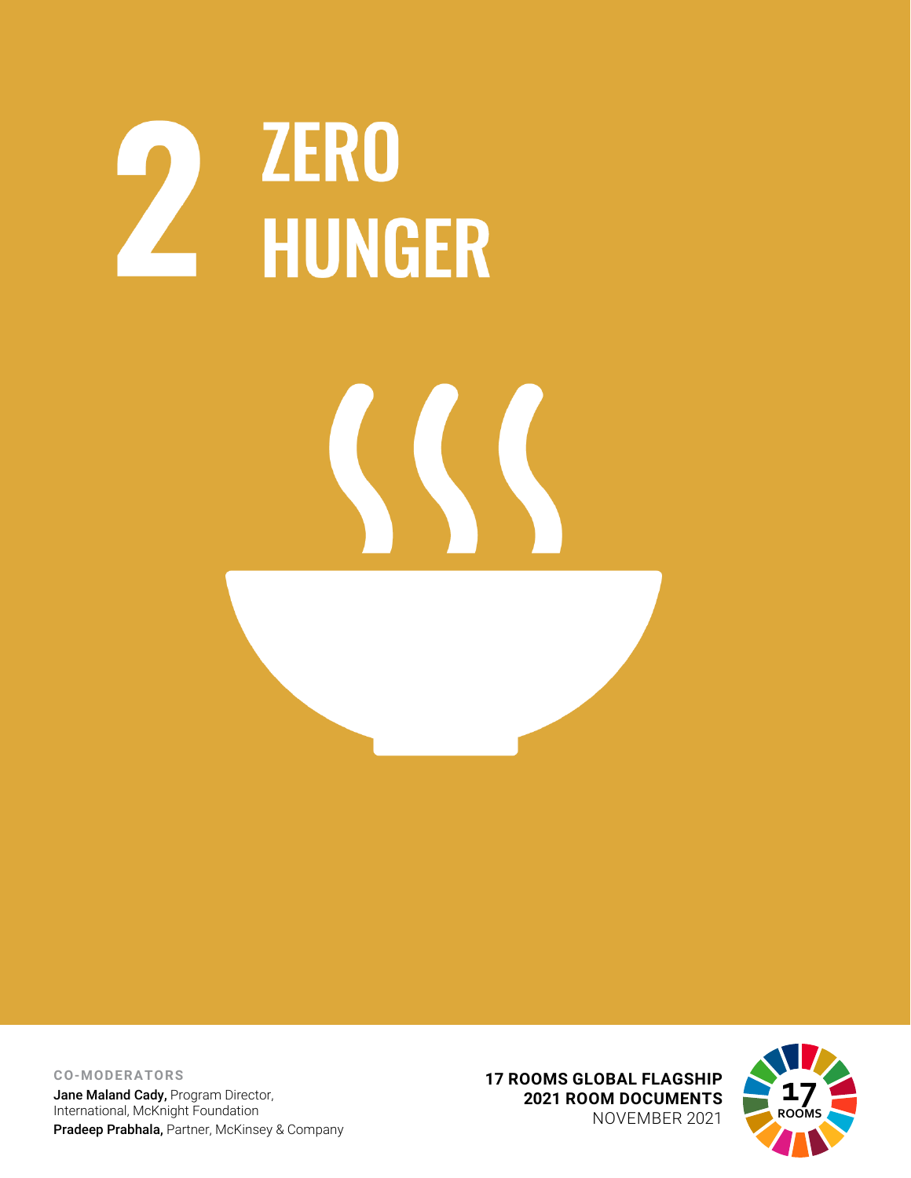## 2 ZERO<br>HUNGER



**CO-MODERATORS** Jane Maland Cady, Program Director, International, McKnight Foundation Pradeep Prabhala, Partner, McKinsey & Company **17 ROOMS GLOBAL FLAGSHIP 2021 ROOM DOCUMENTS** NOVEMBER 2021

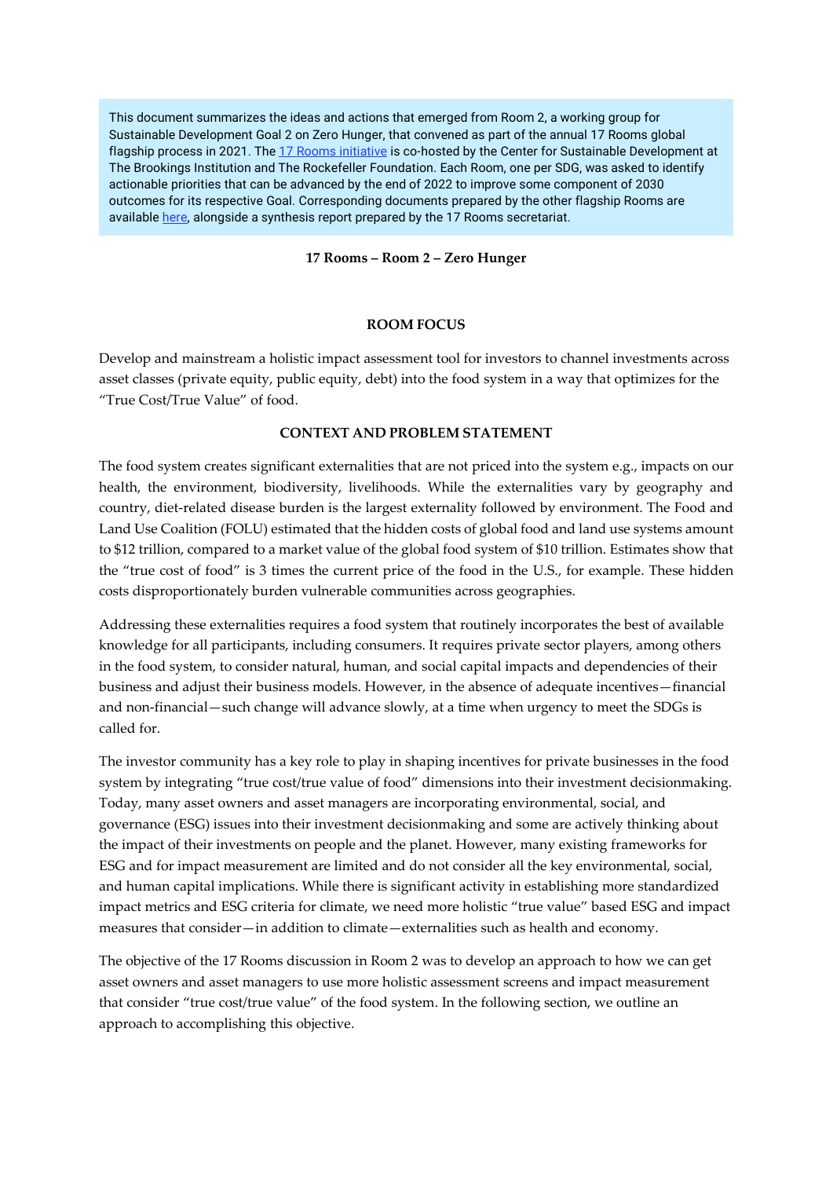This document summarizes the ideas and actions that emerged from Room 2, a working group for Sustainable Development Goal 2 on Zero Hunger, that convened as part of the annual 17 Rooms global flagship process in 2021. Th[e 17 Rooms initiative](https://www.brookings.edu/project/17-rooms/) is co-hosted by the Center for Sustainable Development at The Brookings Institution and The Rockefeller Foundation. Each Room, one per SDG, was asked to identify actionable priorities that can be advanced by the end of 2022 to improve some component of 2030 outcomes for its respective Goal. Corresponding documents prepared by the other flagship Rooms are available [here,](http://www.brookings.edu/17rooms2021) alongside a synthesis report prepared by the 17 Rooms secretariat.

**17 Rooms – Room 2 – Zero Hunger**

## **ROOM FOCUS**

Develop and mainstream a holistic impact assessment tool for investors to channel investments across asset classes (private equity, public equity, debt) into the food system in a way that optimizes for the "True Cost/True Value" of food.

## **CONTEXT AND PROBLEM STATEMENT**

The food system creates significant externalities that are not priced into the system e.g., impacts on our health, the environment, biodiversity, livelihoods. While the externalities vary by geography and country, diet-related disease burden is the largest externality followed by environment. The Food and Land Use Coalition (FOLU) estimated that the hidden costs of global food and land use systems amount to \$12 trillion, compared to a market value of the global food system of \$10 trillion. Estimates show that the "true cost of food" is 3 times the current price of the food in the U.S., for example. These hidden costs disproportionately burden vulnerable communities across geographies.

Addressing these externalities requires a food system that routinely incorporates the best of available knowledge for all participants, including consumers. It requires private sector players, among others in the food system, to consider natural, human, and social capital impacts and dependencies of their business and adjust their business models. However, in the absence of adequate incentives—financial and non-financial—such change will advance slowly, at a time when urgency to meet the SDGs is called for.

The investor community has a key role to play in shaping incentives for private businesses in the food system by integrating "true cost/true value of food" dimensions into their investment decisionmaking. Today, many asset owners and asset managers are incorporating environmental, social, and governance (ESG) issues into their investment decisionmaking and some are actively thinking about the impact of their investments on people and the planet. However, many existing frameworks for ESG and for impact measurement are limited and do not consider all the key environmental, social, and human capital implications. While there is significant activity in establishing more standardized impact metrics and ESG criteria for climate, we need more holistic "true value" based ESG and impact measures that consider—in addition to climate—externalities such as health and economy.

The objective of the 17 Rooms discussion in Room 2 was to develop an approach to how we can get asset owners and asset managers to use more holistic assessment screens and impact measurement that consider "true cost/true value" of the food system. In the following section, we outline an approach to accomplishing this objective.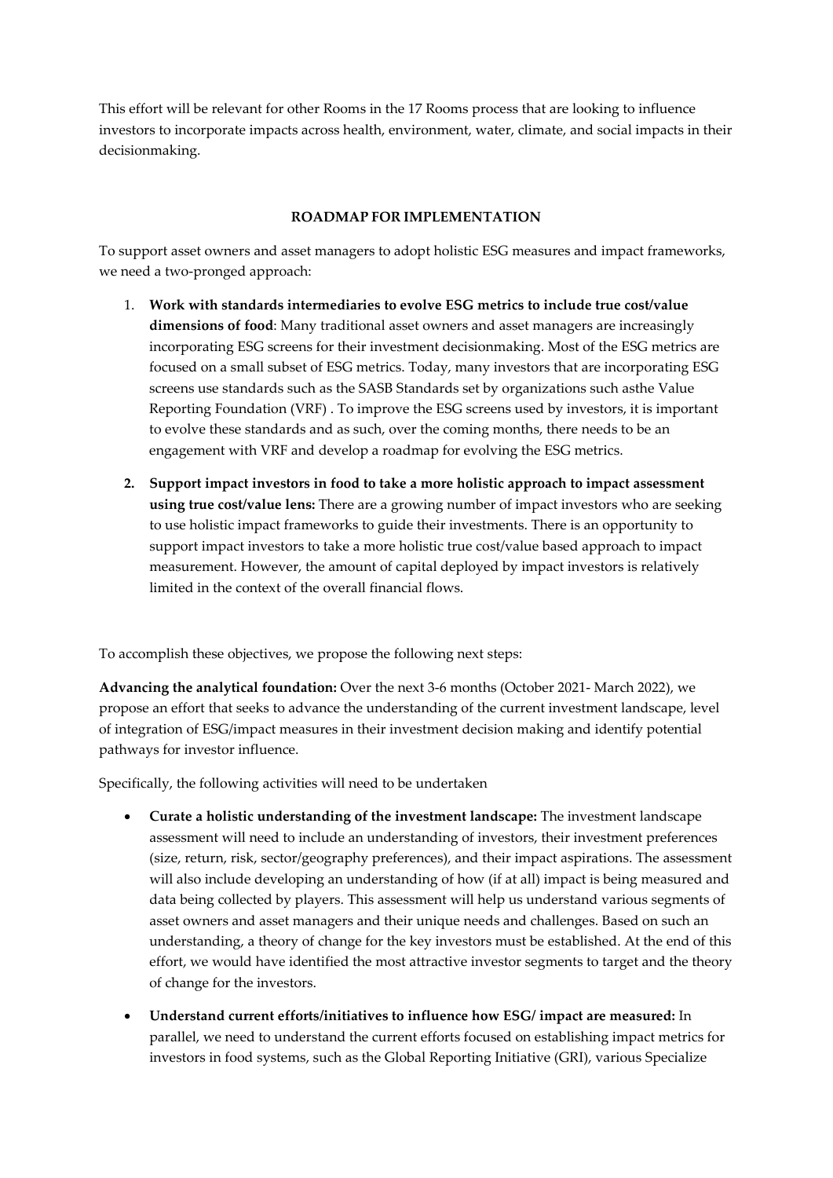This effort will be relevant for other Rooms in the 17 Rooms process that are looking to influence investors to incorporate impacts across health, environment, water, climate, and social impacts in their decisionmaking.

## **ROADMAP FOR IMPLEMENTATION**

To support asset owners and asset managers to adopt holistic ESG measures and impact frameworks, we need a two-pronged approach:

- 1. **Work with standards intermediaries to evolve ESG metrics to include true cost/value dimensions of food**: Many traditional asset owners and asset managers are increasingly incorporating ESG screens for their investment decisionmaking. Most of the ESG metrics are focused on a small subset of ESG metrics. Today, many investors that are incorporating ESG screens use standards such as the SASB Standards set by organizations such asthe Value Reporting Foundation (VRF) . To improve the ESG screens used by investors, it is important to evolve these standards and as such, over the coming months, there needs to be an engagement with VRF and develop a roadmap for evolving the ESG metrics.
- **2. Support impact investors in food to take a more holistic approach to impact assessment using true cost/value lens:** There are a growing number of impact investors who are seeking to use holistic impact frameworks to guide their investments. There is an opportunity to support impact investors to take a more holistic true cost/value based approach to impact measurement. However, the amount of capital deployed by impact investors is relatively limited in the context of the overall financial flows.

To accomplish these objectives, we propose the following next steps:

**Advancing the analytical foundation:** Over the next 3-6 months (October 2021- March 2022), we propose an effort that seeks to advance the understanding of the current investment landscape, level of integration of ESG/impact measures in their investment decision making and identify potential pathways for investor influence.

Specifically, the following activities will need to be undertaken

- **Curate a holistic understanding of the investment landscape:** The investment landscape assessment will need to include an understanding of investors, their investment preferences (size, return, risk, sector/geography preferences), and their impact aspirations. The assessment will also include developing an understanding of how (if at all) impact is being measured and data being collected by players. This assessment will help us understand various segments of asset owners and asset managers and their unique needs and challenges. Based on such an understanding, a theory of change for the key investors must be established. At the end of this effort, we would have identified the most attractive investor segments to target and the theory of change for the investors.
- **Understand current efforts/initiatives to influence how ESG/ impact are measured:** In parallel, we need to understand the current efforts focused on establishing impact metrics for investors in food systems, such as the Global Reporting Initiative (GRI), various Specialize